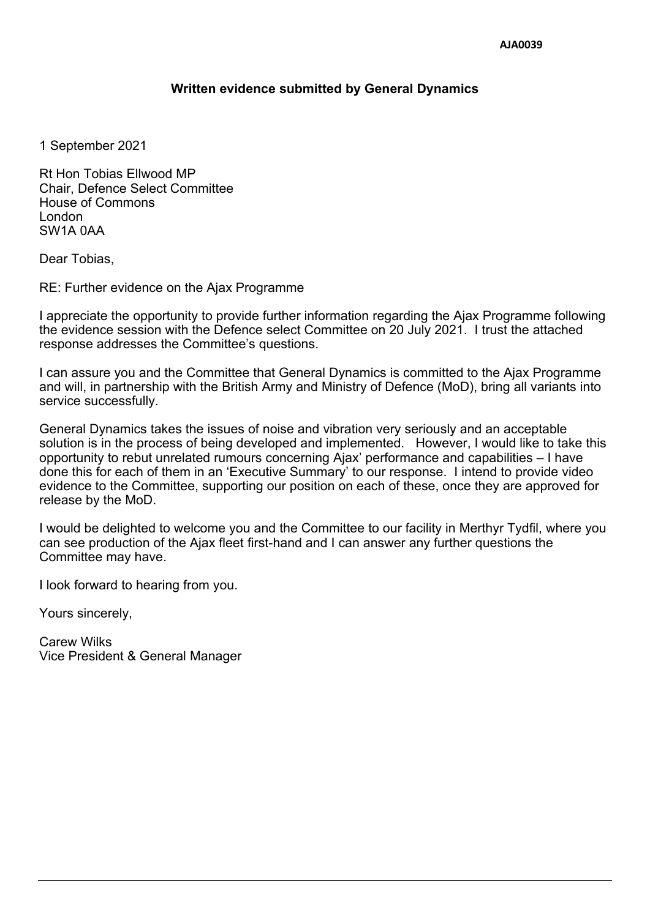## **Written evidence submitted by General Dynamics**

1 September 2021

Rt Hon Tobias Ellwood MP Chair, Defence Select Committee House of Commons London SW1A 0AA

Dear Tobias,

RE: Further evidence on the Ajax Programme

I appreciate the opportunity to provide further information regarding the Ajax Programme following the evidence session with the Defence select Committee on 20 July 2021. I trust the attached response addresses the Committee's questions.

I can assure you and the Committee that General Dynamics is committed to the Ajax Programme and will, in partnership with the British Army and Ministry of Defence (MoD), bring all variants into service successfully.

General Dynamics takes the issues of noise and vibration very seriously and an acceptable solution is in the process of being developed and implemented. However, I would like to take this opportunity to rebut unrelated rumours concerning Ajax' performance and capabilities – I have done this for each of them in an 'Executive Summary' to our response. I intend to provide video evidence to the Committee, supporting our position on each of these, once they are approved for release by the MoD.

I would be delighted to welcome you and the Committee to our facility in Merthyr Tydfil, where you can see production of the Ajax fleet first-hand and I can answer any further questions the Committee may have.

I look forward to hearing from you.

Yours sincerely,

Carew Wilks Vice President & General Manager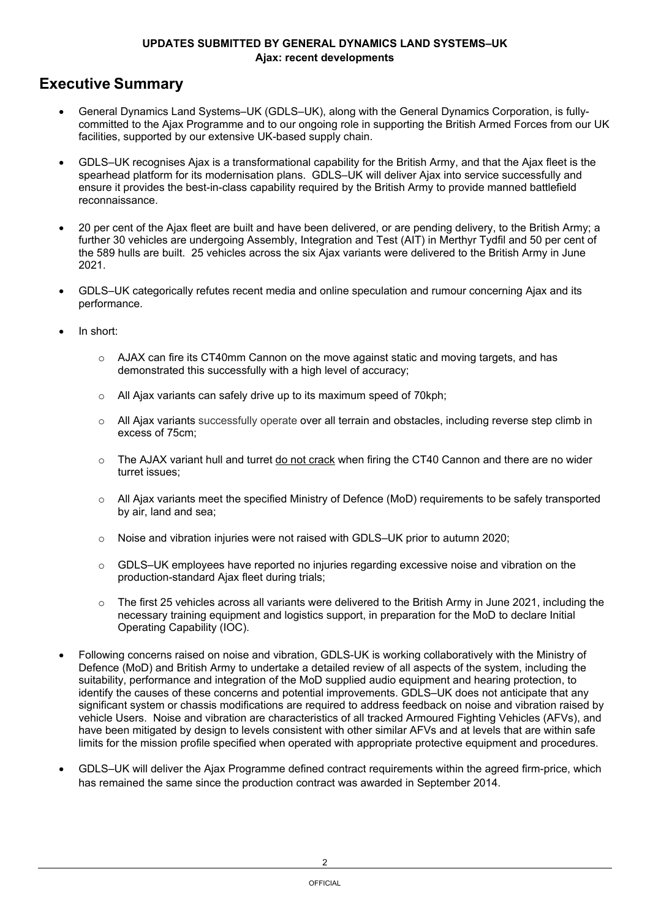## **Executive Summary**

- General Dynamics Land Systems–UK (GDLS–UK), along with the General Dynamics Corporation, is fullycommitted to the Ajax Programme and to our ongoing role in supporting the British Armed Forces from our UK facilities, supported by our extensive UK-based supply chain.
- GDLS–UK recognises Ajax is a transformational capability for the British Army, and that the Ajax fleet is the spearhead platform for its modernisation plans. GDLS–UK will deliver Ajax into service successfully and ensure it provides the best-in-class capability required by the British Army to provide manned battlefield reconnaissance.
- 20 per cent of the Ajax fleet are built and have been delivered, or are pending delivery, to the British Army; a further 30 vehicles are undergoing Assembly, Integration and Test (AIT) in Merthyr Tydfil and 50 per cent of the 589 hulls are built. 25 vehicles across the six Ajax variants were delivered to the British Army in June 2021.
- GDLS–UK categorically refutes recent media and online speculation and rumour concerning Ajax and its performance.
- In short:
	- $\circ$  AJAX can fire its CT40mm Cannon on the move against static and moving targets, and has demonstrated this successfully with a high level of accuracy;
	- $\circ$  All Ajax variants can safely drive up to its maximum speed of 70kph;
	- o All Ajax variants successfully operate over all terrain and obstacles, including reverse step climb in excess of 75cm;
	- o The AJAX variant hull and turret do not crack when firing the CT40 Cannon and there are no wider turret issues;
	- $\circ$  All Ajax variants meet the specified Ministry of Defence (MoD) requirements to be safely transported by air, land and sea;
	- $\circ$  Noise and vibration injuries were not raised with GDLS–UK prior to autumn 2020;
	- o GDLS–UK employees have reported no injuries regarding excessive noise and vibration on the production-standard Ajax fleet during trials;
	- $\circ$  The first 25 vehicles across all variants were delivered to the British Army in June 2021, including the necessary training equipment and logistics support, in preparation for the MoD to declare Initial Operating Capability (IOC).
- Following concerns raised on noise and vibration, GDLS-UK is working collaboratively with the Ministry of Defence (MoD) and British Army to undertake a detailed review of all aspects of the system, including the suitability, performance and integration of the MoD supplied audio equipment and hearing protection, to identify the causes of these concerns and potential improvements. GDLS–UK does not anticipate that any significant system or chassis modifications are required to address feedback on noise and vibration raised by vehicle Users. Noise and vibration are characteristics of all tracked Armoured Fighting Vehicles (AFVs), and have been mitigated by design to levels consistent with other similar AFVs and at levels that are within safe limits for the mission profile specified when operated with appropriate protective equipment and procedures.
- GDLS–UK will deliver the Ajax Programme defined contract requirements within the agreed firm-price, which has remained the same since the production contract was awarded in September 2014.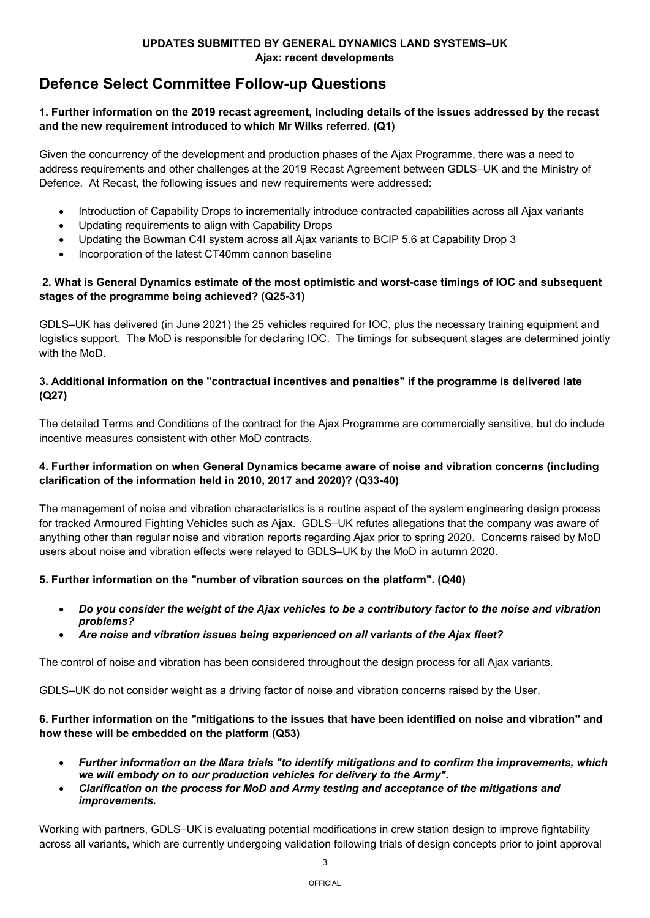# **Defence Select Committee Follow-up Questions**

## 1. Further information on the 2019 recast agreement, including details of the issues addressed by the recast **and the new requirement introduced to which Mr Wilks referred. (Q1)**

Given the concurrency of the development and production phases of the Ajax Programme, there was a need to address requirements and other challenges at the 2019 Recast Agreement between GDLS–UK and the Ministry of Defence. At Recast, the following issues and new requirements were addressed:

- Introduction of Capability Drops to incrementally introduce contracted capabilities across all Ajax variants
- Updating requirements to align with Capability Drops
- Updating the Bowman C4I system across all Ajax variants to BCIP 5.6 at Capability Drop 3
- Incorporation of the latest CT40mm cannon baseline

#### **2. What is General Dynamics estimate of the most optimistic and worst-case timings of IOC and subsequent stages of the programme being achieved? (Q25-31)**

GDLS–UK has delivered (in June 2021) the 25 vehicles required for IOC, plus the necessary training equipment and logistics support. The MoD is responsible for declaring IOC. The timings for subsequent stages are determined jointly with the MoD.

## **3. Additional information on the "contractual incentives and penalties" if the programme is delivered late (Q27)**

The detailed Terms and Conditions of the contract for the Ajax Programme are commercially sensitive, but do include incentive measures consistent with other MoD contracts.

## **4. Further information on when General Dynamics became aware of noise and vibration concerns (including clarification of the information held in 2010, 2017 and 2020)? (Q33-40)**

The management of noise and vibration characteristics is a routine aspect of the system engineering design process for tracked Armoured Fighting Vehicles such as Ajax. GDLS–UK refutes allegations that the company was aware of anything other than regular noise and vibration reports regarding Ajax prior to spring 2020. Concerns raised by MoD users about noise and vibration effects were relayed to GDLS–UK by the MoD in autumn 2020.

## **5. Further information on the "number of vibration sources on the platform". (Q40)**

- Do you consider the weight of the Ajax vehicles to be a contributory factor to the noise and vibration *problems?*
- *Are noise and vibration issues being experienced on all variants of the Ajax fleet?*

The control of noise and vibration has been considered throughout the design process for all Ajax variants.

GDLS–UK do not consider weight as a driving factor of noise and vibration concerns raised by the User.

#### 6. Further information on the "mitigations to the issues that have been identified on noise and vibration" and **how these will be embedded on the platform (Q53)**

- *Further information on the Mara trials "to identify mitigations and to confirm the improvements, which we will embody on to our production vehicles for delivery to the Army".*
- *Clarification on the process for MoD and Army testing and acceptance of the mitigations and improvements.*

Working with partners, GDLS–UK is evaluating potential modifications in crew station design to improve fightability across all variants, which are currently undergoing validation following trials of design concepts prior to joint approval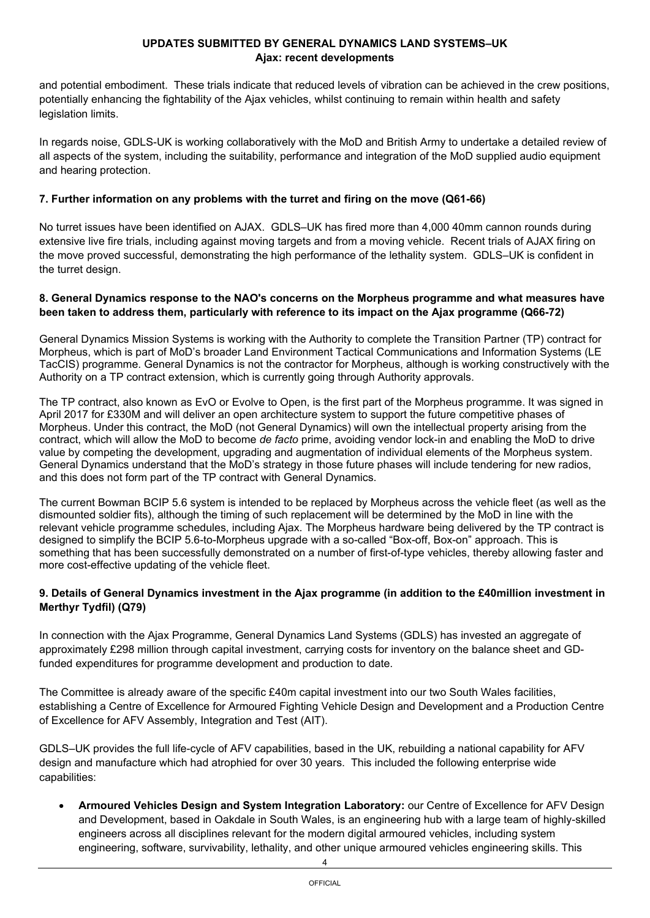and potential embodiment. These trials indicate that reduced levels of vibration can be achieved in the crew positions, potentially enhancing the fightability of the Ajax vehicles, whilst continuing to remain within health and safety legislation limits.

In regards noise, GDLS-UK is working collaboratively with the MoD and British Army to undertake a detailed review of all aspects of the system, including the suitability, performance and integration of the MoD supplied audio equipment and hearing protection.

## **7. Further information on any problems with the turret and firing on the move (Q61-66)**

No turret issues have been identified on AJAX. GDLS–UK has fired more than 4,000 40mm cannon rounds during extensive live fire trials, including against moving targets and from a moving vehicle. Recent trials of AJAX firing on the move proved successful, demonstrating the high performance of the lethality system. GDLS–UK is confident in the turret design.

#### **8. General Dynamics response to the NAO's concerns on the Morpheus programme and what measures have been taken to address them, particularly with reference to its impact on the Ajax programme (Q66-72)**

General Dynamics Mission Systems is working with the Authority to complete the Transition Partner (TP) contract for Morpheus, which is part of MoD's broader Land Environment Tactical Communications and Information Systems (LE TacCIS) programme. General Dynamics is not the contractor for Morpheus, although is working constructively with the Authority on a TP contract extension, which is currently going through Authority approvals.

The TP contract, also known as EvO or Evolve to Open, is the first part of the Morpheus programme. It was signed in April 2017 for £330M and will deliver an open architecture system to support the future competitive phases of Morpheus. Under this contract, the MoD (not General Dynamics) will own the intellectual property arising from the contract, which will allow the MoD to become *de facto* prime, avoiding vendor lock-in and enabling the MoD to drive value by competing the development, upgrading and augmentation of individual elements of the Morpheus system. General Dynamics understand that the MoD's strategy in those future phases will include tendering for new radios, and this does not form part of the TP contract with General Dynamics.

The current Bowman BCIP 5.6 system is intended to be replaced by Morpheus across the vehicle fleet (as well as the dismounted soldier fits), although the timing of such replacement will be determined by the MoD in line with the relevant vehicle programme schedules, including Ajax. The Morpheus hardware being delivered by the TP contract is designed to simplify the BCIP 5.6-to-Morpheus upgrade with a so-called "Box-off, Box-on" approach. This is something that has been successfully demonstrated on a number of first-of-type vehicles, thereby allowing faster and more cost-effective updating of the vehicle fleet.

#### 9. Details of General Dynamics investment in the Ajax programme (in addition to the £40million investment in **Merthyr Tydfil) (Q79)**

In connection with the Ajax Programme, General Dynamics Land Systems (GDLS) has invested an aggregate of approximately £298 million through capital investment, carrying costs for inventory on the balance sheet and GDfunded expenditures for programme development and production to date.

The Committee is already aware of the specific £40m capital investment into our two South Wales facilities. establishing a Centre of Excellence for Armoured Fighting Vehicle Design and Development and a Production Centre of Excellence for AFV Assembly, Integration and Test (AIT).

GDLS–UK provides the full life-cycle of AFV capabilities, based in the UK, rebuilding a national capability for AFV design and manufacture which had atrophied for over 30 years. This included the following enterprise wide capabilities:

 **Armoured Vehicles Design and System Integration Laboratory:** our Centre of Excellence for AFV Design and Development, based in Oakdale in South Wales, is an engineering hub with a large team of highly-skilled engineers across all disciplines relevant for the modern digital armoured vehicles, including system engineering, software, survivability, lethality, and other unique armoured vehicles engineering skills. This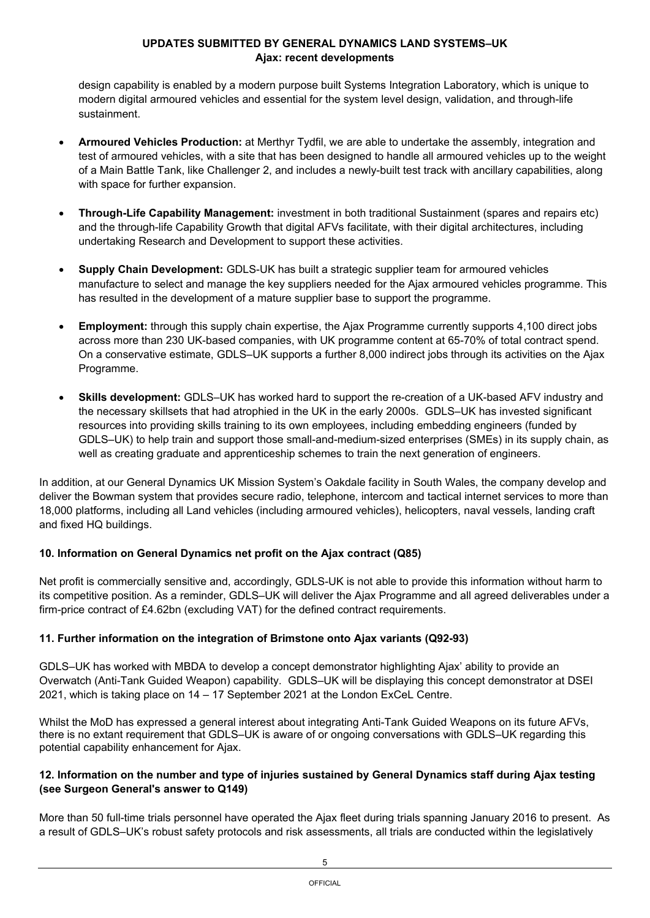design capability is enabled by a modern purpose built Systems Integration Laboratory, which is unique to modern digital armoured vehicles and essential for the system level design, validation, and through-life sustainment.

- **Armoured Vehicles Production:** at Merthyr Tydfil, we are able to undertake the assembly, integration and test of armoured vehicles, with a site that has been designed to handle all armoured vehicles up to the weight of a Main Battle Tank, like Challenger 2, and includes a newly-built test track with ancillary capabilities, along with space for further expansion.
- **Through-Life Capability Management:** investment in both traditional Sustainment (spares and repairs etc) and the through-life Capability Growth that digital AFVs facilitate, with their digital architectures, including undertaking Research and Development to support these activities.
- **Supply Chain Development:** GDLS-UK has built a strategic supplier team for armoured vehicles manufacture to select and manage the key suppliers needed for the Ajax armoured vehicles programme. This has resulted in the development of a mature supplier base to support the programme.
- **Employment:** through this supply chain expertise, the Ajax Programme currently supports 4,100 direct jobs across more than 230 UK-based companies, with UK programme content at 65-70% of total contract spend. On a conservative estimate, GDLS–UK supports a further 8,000 indirect jobs through its activities on the Ajax Programme.
- **Skills development:** GDLS–UK has worked hard to support the re-creation of a UK-based AFV industry and the necessary skillsets that had atrophied in the UK in the early 2000s. GDLS–UK has invested significant resources into providing skills training to its own employees, including embedding engineers (funded by GDLS–UK) to help train and support those small-and-medium-sized enterprises (SMEs) in its supply chain, as well as creating graduate and apprenticeship schemes to train the next generation of engineers.

In addition, at our General Dynamics UK Mission System's Oakdale facility in South Wales, the company develop and deliver the Bowman system that provides secure radio, telephone, intercom and tactical internet services to more than 18,000 platforms, including all Land vehicles (including armoured vehicles), helicopters, naval vessels, landing craft and fixed HQ buildings.

## **10. Information on General Dynamics net profit on the Ajax contract (Q85)**

Net profit is commercially sensitive and, accordingly, GDLS-UK is not able to provide this information without harm to its competitive position. As a reminder, GDLS–UK will deliver the Ajax Programme and all agreed deliverables under a firm-price contract of £4.62bn (excluding VAT) for the defined contract requirements.

## **11. Further information on the integration of Brimstone onto Ajax variants (Q92-93)**

GDLS–UK has worked with MBDA to develop a concept demonstrator highlighting Ajax' ability to provide an Overwatch (Anti-Tank Guided Weapon) capability. GDLS–UK will be displaying this concept demonstrator at DSEI 2021, which is taking place on 14 – 17 September 2021 at the London ExCeL Centre.

Whilst the MoD has expressed a general interest about integrating Anti-Tank Guided Weapons on its future AFVs, there is no extant requirement that GDLS–UK is aware of or ongoing conversations with GDLS–UK regarding this potential capability enhancement for Ajax.

## 12. Information on the number and type of injuries sustained by General Dynamics staff during Ajax testing **(see Surgeon General's answer to Q149)**

More than 50 full-time trials personnel have operated the Ajax fleet during trials spanning January 2016 to present. As a result of GDLS–UK's robust safety protocols and risk assessments, all trials are conducted within the legislatively